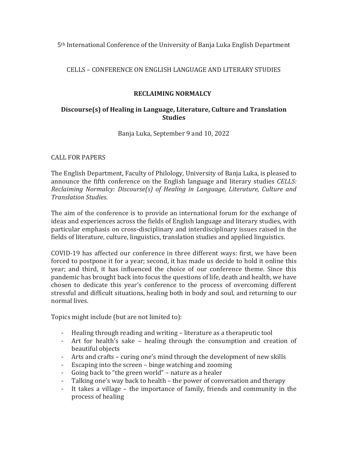5th International Conference of the University of Banja Luka English Department

CELLS – CONFERENCE ON ENGLISH LANGUAGE AND LITERARY STUDIES

# **RECLAIMING NORMALCY**

## **Discourse(s) of Healing in Language, Literature, Culture and Translation Studies**

Banja Luka, September 9 and 10, 2022

## CALL FOR PAPERS

The English Department, Faculty of Philology, University of Banja Luka, is pleased to announce the fifth conference on the English language and literary studies *CELLS: Reclaiming Normalcy: Discourse(s) of Healing in Language, Literature, Culture and Translation Studies*.

The aim of the conference is to provide an international forum for the exchange of ideas and experiences across the fields of English language and literary studies, with particular emphasis on cross-disciplinary and interdisciplinary issues raised in the fields of literature, culture, linguistics, translation studies and applied linguistics.

COVID-19 has affected our conference in three different ways: first, we have been forced to postpone it for a year; second, it has made us decide to hold it online this year; and third, it has influenced the choice of our conference theme. Since this pandemic has brought back into focus the questions of life, death and health, we have chosen to dedicate this year's conference to the process of overcoming different stressful and difficult situations, healing both in body and soul, and returning to our normal lives.

Topics might include (but are not limited to):

- Healing through reading and writing literature as a therapeutic tool
- Art for health's sake healing through the consumption and creation of beautiful objects
- Arts and crafts curing one's mind through the development of new skills
- Escaping into the screen binge watching and zooming
- Going back to "the green world" nature as a healer
- Talking one's way back to health the power of conversation and therapy
- It takes a village the importance of family, friends and community in the process of healing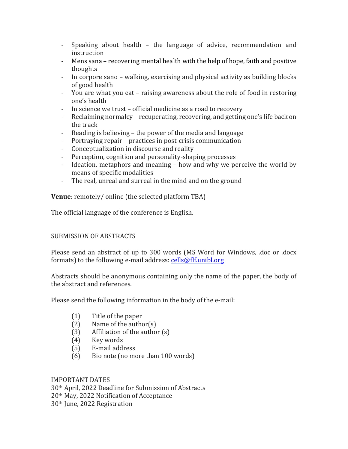- Speaking about health the language of advice, recommendation and instruction
- Mens sana recovering mental health with the help of hope, faith and positive thoughts
- In corpore sano walking, exercising and physical activity as building blocks of good health
- You are what you eat raising awareness about the role of food in restoring one's health
- In science we trust official medicine as a road to recovery
- Reclaiming normalcy recuperating, recovering, and getting one's life back on the track
- Reading is believing the power of the media and language
- Portraying repair practices in post-crisis communication
- Conceptualization in discourse and reality
- Perception, cognition and personality-shaping processes
- Ideation, metaphors and meaning how and why we perceive the world by means of specific modalities
- The real, unreal and surreal in the mind and on the ground

**Venue**: remotely/ online (the selected platform TBA)

The official language of the conference is English.

### SUBMISSION OF ABSTRACTS

Please send an abstract of up to 300 words (MS Word for Windows, .doc or .docx formats) to the following e-mail address: [cells@flf.unibl.org](mailto:cells@flf.unibl.org)

Abstracts should be anonymous containing only the name of the paper, the body of the abstract and references.

Please send the following information in the body of the e-mail:

- (1) Title of the paper
- (2) Name of the author(s)
- (3) Affiliation of the author (s)
- (4) Key words
- (5) E-mail address
- (6) Bio note (no more than 100 words)

### IMPORTANT DATES

30th April, 2022 Deadline for Submission of Abstracts 20th May, 2022 Notification of Acceptance 30th June, 2022 Registration